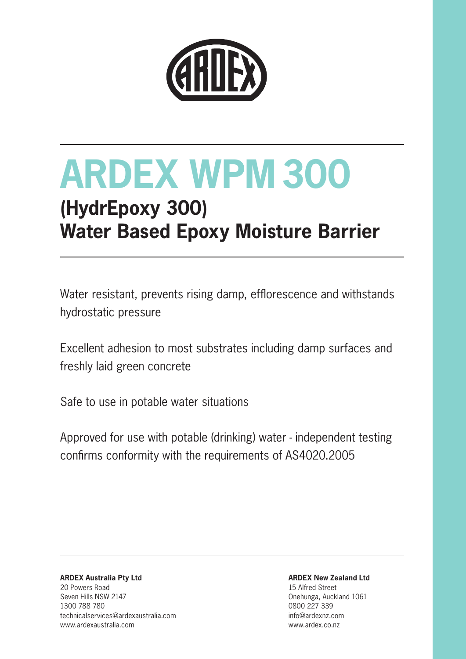

### **(HydrEpoxy 300) Water Based Epoxy Moisture Barrier**

Water resistant, prevents rising damp, efflorescence and withstands hydrostatic pressure

Excellent adhesion to most substrates including damp surfaces and freshly laid green concrete

Safe to use in potable water situations

Approved for use with potable (drinking) water - independent testing confirms conformity with the requirements of AS4020.2005

**ARDEX Australia Pty Ltd** 20 Powers Road Seven Hills NSW 2147 1300 788 780 technicalservices@ardexaustralia.com www.ardexaustralia.com

**ARDEX New Zealand Ltd**

15 Alfred Street Onehunga, Auckland 1061 0800 227 339 info@ardexnz.com www.ardex.co.nz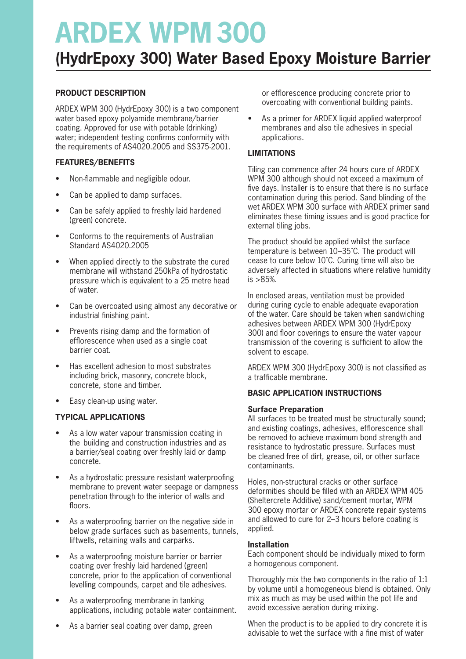### **(HydrEpoxy 300) Water Based Epoxy Moisture Barrier**

#### **PRODUCT DESCRIPTION**

ARDEX WPM 300 (HydrEpoxy 300) is a two component water based epoxy polyamide membrane/barrier coating. Approved for use with potable (drinking) water; independent testing confirms conformity with the requirements of AS4020.2005 and SS375-2001.

#### **FEATURES/BENEFITS**

- Non-flammable and negligible odour.
- Can be applied to damp surfaces.
- Can be safely applied to freshly laid hardened (green) concrete.
- Conforms to the requirements of Australian Standard AS4020.2005
- When applied directly to the substrate the cured membrane will withstand 250kPa of hydrostatic pressure which is equivalent to a 25 metre head of water.
- Can be overcoated using almost any decorative or industrial finishing paint.
- Prevents rising damp and the formation of efflorescence when used as a single coat barrier coat.
- Has excellent adhesion to most substrates including brick, masonry, concrete block, concrete, stone and timber.
- Easy clean-up using water.

#### **TYPICAL APPLICATIONS**

- As a low water vapour transmission coating in the building and construction industries and as a barrier/seal coating over freshly laid or damp concrete.
- As a hydrostatic pressure resistant waterproofing membrane to prevent water seepage or dampness penetration through to the interior of walls and floors.
- As a waterproofing barrier on the negative side in below grade surfaces such as basements, tunnels, liftwells, retaining walls and carparks.
- As a waterproofing moisture barrier or barrier coating over freshly laid hardened (green) concrete, prior to the application of conventional levelling compounds, carpet and tile adhesives.
- As a waterproofing membrane in tanking applications, including potable water containment.
- As a barrier seal coating over damp, green

or efflorescence producing concrete prior to overcoating with conventional building paints.

• As a primer for ARDEX liquid applied waterproof membranes and also tile adhesives in special applications.

#### **LIMITATIONS**

Tiling can commence after 24 hours cure of ARDEX WPM 300 although should not exceed a maximum of five days. Installer is to ensure that there is no surface contamination during this period. Sand blinding of the wet ARDEX WPM 300 surface with ARDEX primer sand eliminates these timing issues and is good practice for external tiling jobs.

The product should be applied whilst the surface temperature is between 10–35˚C. The product will cease to cure below 10˚C. Curing time will also be adversely affected in situations where relative humidity is >85%.

In enclosed areas, ventilation must be provided during curing cycle to enable adequate evaporation of the water. Care should be taken when sandwiching adhesives between ARDEX WPM 300 (HydrEpoxy 300) and floor coverings to ensure the water vapour transmission of the covering is sufficient to allow the solvent to escape.

ARDEX WPM 300 (HydrEpoxy 300) is not classified as a trafficable membrane.

#### **BASIC APPLICATION INSTRUCTIONS**

#### **Surface Preparation**

All surfaces to be treated must be structurally sound; and existing coatings, adhesives, efflorescence shall be removed to achieve maximum bond strength and resistance to hydrostatic pressure. Surfaces must be cleaned free of dirt, grease, oil, or other surface contaminants.

Holes, non-structural cracks or other surface deformities should be filled with an ARDEX WPM 405 (Sheltercrete Additive) sand/cement mortar, WPM 300 epoxy mortar or ARDEX concrete repair systems and allowed to cure for 2–3 hours before coating is applied.

#### **Installation**

Each component should be individually mixed to form a homogenous component.

Thoroughly mix the two components in the ratio of 1:1 by volume until a homogeneous blend is obtained. Only mix as much as may be used within the pot life and avoid excessive aeration during mixing.

When the product is to be applied to dry concrete it is advisable to wet the surface with a fine mist of water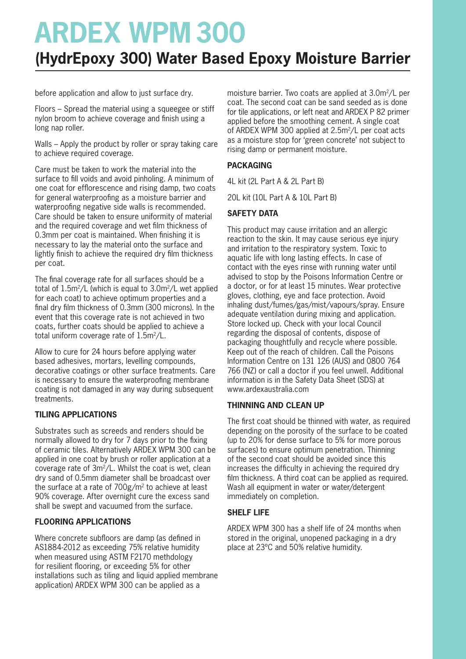### **(HydrEpoxy 300) Water Based Epoxy Moisture Barrier**

before application and allow to just surface dry.

Floors – Spread the material using a squeegee or stiff nylon broom to achieve coverage and finish using a long nap roller.

Walls – Apply the product by roller or spray taking care to achieve required coverage.

Care must be taken to work the material into the surface to fill voids and avoid pinholing. A minimum of one coat for efflorescence and rising damp, two coats for general waterproofing as a moisture barrier and waterproofing negative side walls is recommended. Care should be taken to ensure uniformity of material and the required coverage and wet film thickness of 0.3mm per coat is maintained. When finishing it is necessary to lay the material onto the surface and lightly finish to achieve the required dry film thickness per coat.

The final coverage rate for all surfaces should be a total of 1.5m2/L (which is equal to 3.0m2/L wet applied for each coat) to achieve optimum properties and a final dry film thickness of 0.3mm (300 microns). In the event that this coverage rate is not achieved in two coats, further coats should be applied to achieve a total uniform coverage rate of  $1.5m^2/L$ .

Allow to cure for 24 hours before applying water based adhesives, mortars, levelling compounds, decorative coatings or other surface treatments. Care is necessary to ensure the waterproofing membrane coating is not damaged in any way during subsequent treatments.

#### **TILING APPLICATIONS**

Substrates such as screeds and renders should be normally allowed to dry for 7 days prior to the fixing of ceramic tiles. Alternatively ARDEX WPM 300 can be applied in one coat by brush or roller application at a coverage rate of 3m2/L. Whilst the coat is wet, clean dry sand of 0.5mm diameter shall be broadcast over the surface at a rate of 700g/m2 to achieve at least 90% coverage. After overnight cure the excess sand shall be swept and vacuumed from the surface.

#### **FLOORING APPLICATIONS**

Where concrete subfloors are damp (as defined in AS1884-2012 as exceeding 75% relative humidity when measured using ASTM F2170 methdology for resilient flooring, or exceeding 5% for other installations such as tiling and liquid applied membrane application) ARDEX WPM 300 can be applied as a

moisture barrier. Two coats are applied at 3.0m2/L per coat. The second coat can be sand seeded as is done for tile applications, or left neat and ARDEX P 82 primer applied before the smoothing cement. A single coat of ARDEX WPM 300 applied at 2.5m<sup>2</sup>/L per coat acts as a moisture stop for 'green concrete' not subject to rising damp or permanent moisture.

#### **PACKAGING**

4L kit (2L Part A & 2L Part B)

20L kit (10L Part A & 10L Part B)

#### **SAFETY DATA**

This product may cause irritation and an allergic reaction to the skin. It may cause serious eye injury and irritation to the respiratory system. Toxic to aquatic life with long lasting effects. In case of contact with the eyes rinse with running water until advised to stop by the Poisons Information Centre or a doctor, or for at least 15 minutes. Wear protective gloves, clothing, eye and face protection. Avoid inhaling dust/fumes/gas/mist/vapours/spray. Ensure adequate ventilation during mixing and application. Store locked up. Check with your local Council regarding the disposal of contents, dispose of packaging thoughtfully and recycle where possible. Keep out of the reach of children. Call the Poisons Information Centre on 131 126 (AUS) and 0800 764 766 (NZ) or call a doctor if you feel unwell. Additional information is in the Safety Data Sheet (SDS) at www.ardexaustralia.com

#### **THINNING AND CLEAN UP**

The first coat should be thinned with water, as required depending on the porosity of the surface to be coated (up to 20% for dense surface to 5% for more porous surfaces) to ensure optimum penetration. Thinning of the second coat should be avoided since this increases the difficulty in achieving the required dry film thickness. A third coat can be applied as required. Wash all equipment in water or water/detergent immediately on completion.

#### **SHELF LIFE**

ARDEX WPM 300 has a shelf life of 24 months when stored in the original, unopened packaging in a dry place at 23ºC and 50% relative humidity.